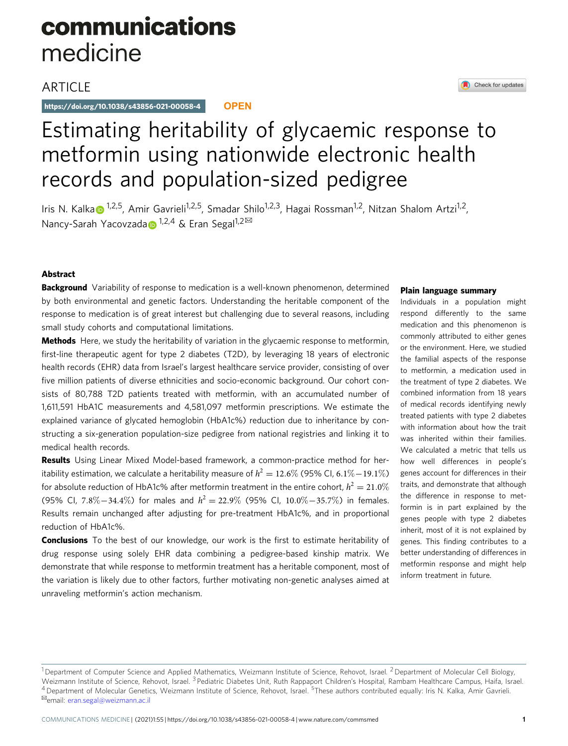# communications medicine

## **ARTICLE**

https://doi.org/10.1038/s43856-021-00058-4 **OPEN**

#### Check for updates

## Estimating heritability of glycaemic response to metformin using nationwide electronic health records and population-sized pedigree

Iris N. K[a](http://orcid.org/0000-0001-9375-2946)lka [1](http://orcid.org/0000-0001-9375-2946),2,5, Amir Gavrieli<sup>1,2,5</sup>, Smadar Shilo<sup>1,2,3</sup>, Hagai Rossman<sup>1,2</sup>, Nitzan Shalom Artzi<sup>1,2</sup>, N[a](http://orcid.org/0000-0002-5152-8775)ncy-Sarah Yacovzada  $\bullet$  <sup>[1](http://orcid.org/0000-0002-5152-8775),2,4</sup> & Eran Segal<sup>1,2 $\boxtimes$ </sup>

### Abstract

**Background** Variability of response to medication is a well-known phenomenon, determined by both environmental and genetic factors. Understanding the heritable component of the response to medication is of great interest but challenging due to several reasons, including small study cohorts and computational limitations.

**Methods** Here, we study the heritability of variation in the glycaemic response to metformin, first-line therapeutic agent for type 2 diabetes (T2D), by leveraging 18 years of electronic health records (EHR) data from Israel's largest healthcare service provider, consisting of over five million patients of diverse ethnicities and socio-economic background. Our cohort consists of 80,788 T2D patients treated with metformin, with an accumulated number of 1,611,591 HbA1C measurements and 4,581,097 metformin prescriptions. We estimate the explained variance of glycated hemoglobin (HbA1c%) reduction due to inheritance by constructing a six-generation population-size pedigree from national registries and linking it to medical health records.

Results Using Linear Mixed Model-based framework, a common-practice method for heritability estimation, we calculate a heritability measure of  $h^2 = 12.6\%$  (95% Cl, 6.1 $\%$  – 19.1 $\%$ ) for absolute reduction of HbA1c% after metformin treatment in the entire cohort,  $h^2 = 21.0\%$ (95% CI, 7.8% $-34.4\%$ ) for males and  $h^2 = 22.9\%$  (95% CI, 10.0% $-35.7\%$ ) in females. Results remain unchanged after adjusting for pre-treatment HbA1c%, and in proportional reduction of HbA1c%.

Conclusions To the best of our knowledge, our work is the first to estimate heritability of drug response using solely EHR data combining a pedigree-based kinship matrix. We demonstrate that while response to metformin treatment has a heritable component, most of the variation is likely due to other factors, further motivating non-genetic analyses aimed at unraveling metformin's action mechanism.

#### Plain language summary

Individuals in a population might respond differently to the same medication and this phenomenon is commonly attributed to either genes or the environment. Here, we studied the familial aspects of the response to metformin, a medication used in the treatment of type 2 diabetes. We combined information from 18 years of medical records identifying newly treated patients with type 2 diabetes with information about how the trait was inherited within their families. We calculated a metric that tells us how well differences in people's genes account for differences in their traits, and demonstrate that although the difference in response to metformin is in part explained by the genes people with type 2 diabetes inherit, most of it is not explained by genes. This finding contributes to a better understanding of differences in metformin response and might help inform treatment in future.

<sup>&</sup>lt;sup>1</sup> Department of Computer Science and Applied Mathematics, Weizmann Institute of Science, Rehovot, Israel. <sup>2</sup> Department of Molecular Cell Biology, Weizmann Institute of Science, Rehovot, Israel. <sup>3</sup> Pediatric Diabetes Unit, Ruth Rappaport Children's Hospital, Rambam Healthcare Campus, Haifa, Israel. <sup>4</sup> Department of Molecular Genetics, Weizmann Institute of Science, Rehovot, Israel. <sup>5</sup>These authors contributed equally: Iris N. Kalka, Amir Gavrieli.<br>⊠email: [eran.segal@weizmann.ac.il](mailto:eran.segal@weizmann.ac.il)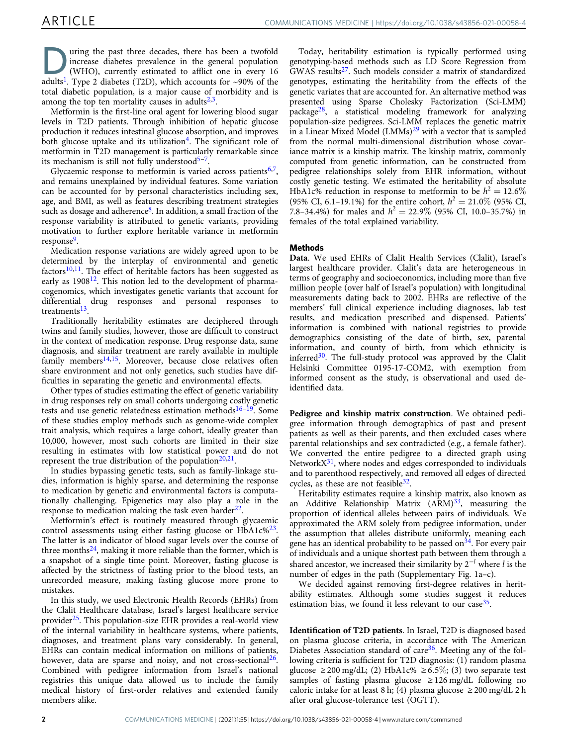The past three decades, there has been a twofold<br>increase diabetes prevalence in the general population<br>(WHO), currently estimated to afflict one in every 16<br>adultal Time 2 diabetes (T2D) which acquires for 00% of the increase diabetes prevalence in the general population (WHO), currently estimated to afflict one in every 16 adults<sup>1</sup>. Type 2 diabetes (T2D), which accounts for  $\sim$ 90% of the total diabetic population, is a major cause of morbidity and is among the top ten mortality causes in adults $2,3$ .

Metformin is the first-line oral agent for lowering blood sugar levels in T2D patients. Through inhibition of hepatic glucose production it reduces intestinal glucose absorption, and improves both glucose uptake and its utilization<sup>[4](#page-6-0)</sup>. The significant role of metformin in T2D management is particularly remarkable since its mechanism is still not fully understood $5-7$  $5-7$ .

Glycaemic response to metformin is varied across patients<sup>[6](#page-6-0),7</sup>, and remains unexplained by individual features. Some variation can be accounted for by personal characteristics including sex, age, and BMI, as well as features describing treatment strategies such as dosage and adherence<sup>[8](#page-7-0)</sup>. In addition, a small fraction of the response variability is attributed to genetic variants, providing motivation to further explore heritable variance in metformin response<sup>[9](#page-7-0)</sup>.

Medication response variations are widely agreed upon to be determined by the interplay of environmental and genetic factors<sup>[10](#page-7-0),[11](#page-7-0)</sup>. The effect of heritable factors has been suggested as early as  $1908^{12}$  $1908^{12}$  $1908^{12}$ . This notion led to the development of pharmacogenomics, which investigates genetic variants that account for differential drug responses and personal responses to treatments<sup>[13](#page-7-0)</sup>.

Traditionally heritability estimates are deciphered through twins and family studies, however, those are difficult to construct in the context of medication response. Drug response data, same diagnosis, and similar treatment are rarely available in multiple family members $14,15$  $14,15$  $14,15$ . Moreover, because close relatives often share environment and not only genetics, such studies have difficulties in separating the genetic and environmental effects.

Other types of studies estimating the effect of genetic variability in drug responses rely on small cohorts undergoing costly genetic tests and use genetic relatedness estimation methods<sup>16-[19](#page-7-0)</sup>. Some of these studies employ methods such as genome-wide complex trait analysis, which requires a large cohort, ideally greater than 10,000, however, most such cohorts are limited in their size resulting in estimates with low statistical power and do not represent the true distribution of the population<sup>20,21</sup>.

In studies bypassing genetic tests, such as family-linkage studies, information is highly sparse, and determining the response to medication by genetic and environmental factors is computationally challenging. Epigenetics may also play a role in the response to medication making the task even harder $^{22}$  $^{22}$  $^{22}$ .

Metformin's effect is routinely measured through glycaemic control assessments using either fasting glucose or HbA1c%<sup>23</sup>. The latter is an indicator of blood sugar levels over the course of three months<sup>24</sup>, making it more reliable than the former, which is a snapshot of a single time point. Moreover, fasting glucose is affected by the strictness of fasting prior to the blood tests, an unrecorded measure, making fasting glucose more prone to mistakes.

In this study, we used Electronic Health Records (EHRs) from the Clalit Healthcare database, Israel's largest healthcare service provider<sup>[25](#page-7-0)</sup>. This population-size EHR provides a real-world view of the internal variability in healthcare systems, where patients, diagnoses, and treatment plans vary considerably. In general, EHRs can contain medical information on millions of patients, however, data are sparse and noisy, and not cross-sectional $26$ . Combined with pedigree information from Israel's national registries this unique data allowed us to include the family medical history of first-order relatives and extended family members alike.

Today, heritability estimation is typically performed using genotyping-based methods such as LD Score Regression from GWAS results<sup>[27](#page-7-0)</sup>. Such models consider a matrix of standardized genotypes, estimating the heritability from the effects of the genetic variates that are accounted for. An alternative method was presented using Sparse Cholesky Factorization (Sci-LMM) package[28,](#page-7-0) a statistical modeling framework for analyzing population-size pedigrees. Sci-LMM replaces the genetic matrix in a Linear Mixed Model  $(LMMs)<sup>29</sup>$  $(LMMs)<sup>29</sup>$  $(LMMs)<sup>29</sup>$  with a vector that is sampled from the normal multi-dimensional distribution whose covariance matrix is a kinship matrix. The kinship matrix, commonly computed from genetic information, can be constructed from pedigree relationships solely from EHR information, without costly genetic testing. We estimated the heritability of absolute HbA1c% reduction in response to metformin to be  $h^2 = 12.6\%$ (95% CI, 6.1–19.1%) for the entire cohort,  $h^2 = 21.0\%$  (95% CI, 7.8–34.4%) for males and  $h^2 = 22.9\%$  (95% CI, 10.0–35.7%) in females of the total explained variability.

#### Methods

Data. We used EHRs of Clalit Health Services (Clalit), Israel's largest healthcare provider. Clalit's data are heterogeneous in terms of geography and socioeconomics, including more than five million people (over half of Israel's population) with longitudinal measurements dating back to 2002. EHRs are reflective of the members' full clinical experience including diagnoses, lab test results, and medication prescribed and dispensed. Patients' information is combined with national registries to provide demographics consisting of the date of birth, sex, parental information, and county of birth, from which ethnicity is inferred $30$ . The full-study protocol was approved by the Clalit Helsinki Committee 0195-17-COM2, with exemption from informed consent as the study, is observational and used deidentified data.

Pedigree and kinship matrix construction. We obtained pedigree information through demographics of past and present patients as well as their parents, and then excluded cases where parental relationships and sex contradicted (e.g., a female father). We converted the entire pedigree to a directed graph using Network $X<sup>31</sup>$  $X<sup>31</sup>$  $X<sup>31</sup>$ , where nodes and edges corresponded to individuals and to parenthood respectively, and removed all edges of directed cycles, as these are not feasible  $32$ .

Heritability estimates require a kinship matrix, also known as an Additive Relationship Matrix  $(ARM)^{33}$  $(ARM)^{33}$  $(ARM)^{33}$ , measuring the proportion of identical alleles between pairs of individuals. We approximated the ARM solely from pedigree information, under the assumption that alleles distribute uniformly, meaning each gene has an identical probability to be passed on  $34$ . For every pair of individuals and a unique shortest path between them through a shared ancestor, we increased their similarity by  $2^{-l}$  where l is the number of edges in the path (Supplementary Fig. 1a–c).

We decided against removing first-degree relatives in heritability estimates. Although some studies suggest it reduces estimation bias, we found it less relevant to our case  $35$ .

Identification of T2D patients. In Israel, T2D is diagnosed based on plasma glucose criteria, in accordance with The American Diabetes Association standard of care<sup>[36](#page-7-0)</sup>. Meeting any of the following criteria is sufficient for T2D diagnosis: (1) random plasma glucose ≥ 200 mg/dL; (2) HbA1c% ≥ 6.5%; (3) two separate test samples of fasting plasma glucose  $\geq$  126 mg/dL following no caloric intake for at least 8 h; (4) plasma glucose  $\geq 200$  mg/dL 2 h after oral glucose-tolerance test (OGTT).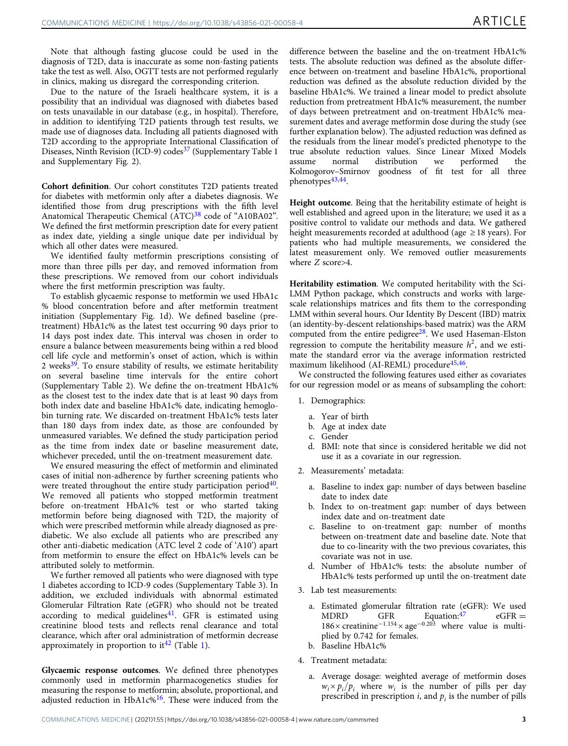Note that although fasting glucose could be used in the diagnosis of T2D, data is inaccurate as some non-fasting patients take the test as well. Also, OGTT tests are not performed regularly in clinics, making us disregard the corresponding criterion.

Due to the nature of the Israeli healthcare system, it is a possibility that an individual was diagnosed with diabetes based on tests unavailable in our database (e.g., in hospital). Therefore, in addition to identifying T2D patients through test results, we made use of diagnoses data. Including all patients diagnosed with T2D according to the appropriate International Classification of Diseases, Ninth Revision (ICD-9) codes<sup>[37](#page-7-0)</sup> (Supplementary Table 1 and Supplementary Fig. 2).

Cohort definition. Our cohort constitutes T2D patients treated for diabetes with metformin only after a diabetes diagnosis. We identified those from drug prescriptions with the fifth level Anatomical Therapeutic Chemical (ATC)<sup>[38](#page-7-0)</sup> code of "A10BA02". We defined the first metformin prescription date for every patient as index date, yielding a single unique date per individual by which all other dates were measured.

We identified faulty metformin prescriptions consisting of more than three pills per day, and removed information from these prescriptions. We removed from our cohort individuals where the first metformin prescription was faulty.

To establish glycaemic response to metformin we used HbA1c % blood concentration before and after metformin treatment initiation (Supplementary Fig. 1d). We defined baseline (pretreatment) HbA1c% as the latest test occurring 90 days prior to 14 days post index date. This interval was chosen in order to ensure a balance between measurements being within a red blood cell life cycle and metformin's onset of action, which is within 2 weeks $39$ . To ensure stability of results, we estimate heritability on several baseline time intervals for the entire cohort (Supplementary Table 2). We define the on-treatment HbA1c% as the closest test to the index date that is at least 90 days from both index date and baseline HbA1c% date, indicating hemoglobin turning rate. We discarded on-treatment HbA1c% tests later than 180 days from index date, as those are confounded by unmeasured variables. We defined the study participation period as the time from index date or baseline measurement date, whichever preceded, until the on-treatment measurement date.

We ensured measuring the effect of metformin and eliminated cases of initial non-adherence by further screening patients who were treated throughout the entire study participation period $40$ . We removed all patients who stopped metformin treatment before on-treatment HbA1c% test or who started taking metformin before being diagnosed with T2D, the majority of which were prescribed metformin while already diagnosed as prediabetic. We also exclude all patients who are prescribed any other anti-diabetic medication (ATC level 2 code of 'A10') apart from metformin to ensure the effect on HbA1c% levels can be attributed solely to metformin.

We further removed all patients who were diagnosed with type 1 diabetes according to ICD-9 codes (Supplementary Table 3). In addition, we excluded individuals with abnormal estimated Glomerular Filtration Rate (eGFR) who should not be treated according to medical guidelines<sup>41</sup>. GFR is estimated using creatinine blood tests and reflects renal clearance and total clearance, which after oral administration of metformin decrease approximately in proportion to it<sup>[42](#page-7-0)</sup> (Table [1\)](#page-3-0).

Glycaemic response outcomes. We defined three phenotypes commonly used in metformin pharmacogenetics studies for measuring the response to metformin; absolute, proportional, and adjusted reduction in HbA1c%[16](#page-7-0). These were induced from the

difference between the baseline and the on-treatment HbA1c% tests. The absolute reduction was defined as the absolute difference between on-treatment and baseline HbA1c%, proportional reduction was defined as the absolute reduction divided by the baseline HbA1c%. We trained a linear model to predict absolute reduction from pretreatment HbA1c% measurement, the number of days between pretreatment and on-treatment HbA1c% measurement dates and average metformin dose during the study (see further explanation below). The adjusted reduction was defined as the residuals from the linear model's predicted phenotype to the true absolute reduction values. Since Linear Mixed Models distribution Kolmogorov–Smirnov goodness of fit test for all three phenotypes<sup>[43](#page-7-0),[44](#page-7-0)</sup>.

Height outcome. Being that the heritability estimate of height is well established and agreed upon in the literature; we used it as a positive control to validate our methods and data. We gathered height measurements recorded at adulthood (age  $\geq$  18 years). For patients who had multiple measurements, we considered the latest measurement only. We removed outlier measurements where Z score>4.

Heritability estimation. We computed heritability with the Sci-LMM Python package, which constructs and works with largescale relationships matrices and fits them to the corresponding LMM within several hours. Our Identity By Descent (IBD) matrix (an identity-by-descent relationships-based matrix) was the ARM computed from the entire pedigree<sup>[28](#page-7-0)</sup>. We used Haseman-Elston regression to compute the heritability measure  $h^2$ , and we estimate the standard error via the average information restricted maximum likelihood (AI-REML) procedure<sup>[45](#page-7-0),[46](#page-7-0)</sup>.

We constructed the following features used either as covariates for our regression model or as means of subsampling the cohort:

- 1. Demographics:
	- a. Year of birth
	- b. Age at index date
	- c. Gender
	- d. BMI: note that since is considered heritable we did not use it as a covariate in our regression.
- 2. Measurements' metadata:
	- a. Baseline to index gap: number of days between baseline date to index date
	- b. Index to on-treatment gap: number of days between index date and on-treatment date
	- c. Baseline to on-treatment gap: number of months between on-treatment date and baseline date. Note that due to co-linearity with the two previous covariates, this covariate was not in use.
	- d. Number of HbA1c% tests: the absolute number of HbA1c% tests performed up until the on-treatment date
- 3. Lab test measurements:
	- a. Estimated glomerular filtration rate (eGFR): We used<br>MDRD GFR Equation:<sup>47</sup> eGFR = MDRD GFR Equation:<sup>[47](#page-7-0)</sup> eGFR = 186  $\times$  creatinine<sup>-1.154</sup>  $\times$  age<sup>-0.203</sup> where value is multiplied by 0.742 for females.
	- b. Baseline HbA1c%
- 4. Treatment metadata:
	- a. Average dosage: weighted average of metformin doses  $w_i \times p_i / p_i$  where  $w_i$  is the number of pills per day prescribed in prescription *i*, and  $p_i$  is the number of pills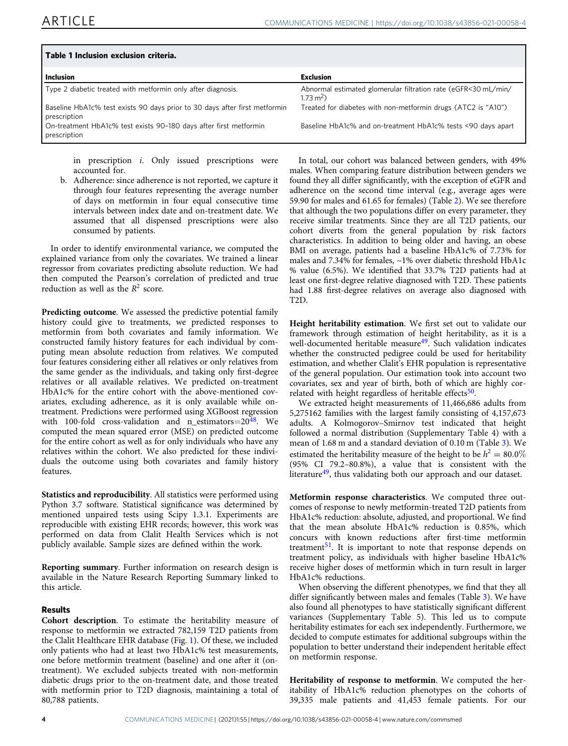<span id="page-3-0"></span>

| Table 1 Inclusion exclusion criteria.                                                      |                                                                                        |  |  |  |  |
|--------------------------------------------------------------------------------------------|----------------------------------------------------------------------------------------|--|--|--|--|
| <b>Inclusion</b>                                                                           | <b>Exclusion</b>                                                                       |  |  |  |  |
| Type 2 diabetic treated with metformin only after diagnosis.                               | Abnormal estimated glomerular filtration rate (eGFR<30 mL/min/<br>$1.73 \text{ m}^2$ ) |  |  |  |  |
| Baseline HbA1c% test exists 90 days prior to 30 days after first metformin<br>prescription | Treated for diabetes with non-metformin drugs (ATC2 is "A10")                          |  |  |  |  |
| On-treatment HbA1c% test exists 90-180 days after first metformin<br>prescription          | Baseline HbA1c% and on-treatment HbA1c% tests <90 days apart                           |  |  |  |  |

in prescription i. Only issued prescriptions were accounted for.

b. Adherence: since adherence is not reported, we capture it through four features representing the average number of days on metformin in four equal consecutive time intervals between index date and on-treatment date. We assumed that all dispensed prescriptions were also consumed by patients.

In order to identify environmental variance, we computed the explained variance from only the covariates. We trained a linear regressor from covariates predicting absolute reduction. We had then computed the Pearson's correlation of predicted and true reduction as well as the  $R^2$  score.

Predicting outcome. We assessed the predictive potential family history could give to treatments, we predicted responses to metformin from both covariates and family information. We constructed family history features for each individual by computing mean absolute reduction from relatives. We computed four features considering either all relatives or only relatives from the same gender as the individuals, and taking only first-degree relatives or all available relatives. We predicted on-treatment HbA1c% for the entire cohort with the above-mentioned covariates, excluding adherence, as it is only available while ontreatment. Predictions were performed using XGBoost regression with 100-fold cross-validation and n estimators $=20^{48}$ . We computed the mean squared error (MSE) on predicted outcome for the entire cohort as well as for only individuals who have any relatives within the cohort. We also predicted for these individuals the outcome using both covariates and family history features.

Statistics and reproducibility. All statistics were performed using Python 3.7 software. Statistical significance was determined by mentioned unpaired tests using Scipy 1.3.1. Experiments are reproducible with existing EHR records; however, this work was performed on data from Clalit Health Services which is not publicly available. Sample sizes are defined within the work.

Reporting summary. Further information on research design is available in the Nature Research Reporting Summary linked to this article.

#### Results

Cohort description. To estimate the heritability measure of response to metformin we extracted 782,159 T2D patients from the Clalit Healthcare EHR database (Fig. [1](#page-4-0)). Of these, we included only patients who had at least two HbA1c% test measurements, one before metformin treatment (baseline) and one after it (ontreatment). We excluded subjects treated with non-metformin diabetic drugs prior to the on-treatment date, and those treated with metformin prior to T2D diagnosis, maintaining a total of 80,788 patients.

In total, our cohort was balanced between genders, with 49% males. When comparing feature distribution between genders we found they all differ significantly, with the exception of eGFR and adherence on the second time interval (e.g., average ages were 59.90 for males and 61.65 for females) (Table [2\)](#page-4-0). We see therefore that although the two populations differ on every parameter, they receive similar treatments. Since they are all T2D patients, our cohort diverts from the general population by risk factors characteristics. In addition to being older and having, an obese BMI on average, patients had a baseline HbA1c% of 7.73% for males and 7.34% for females, ~1% over diabetic threshold HbA1c % value (6.5%). We identified that 33.7% T2D patients had at least one first-degree relative diagnosed with T2D. These patients had 1.88 first-degree relatives on average also diagnosed with T2D.

Height heritability estimation. We first set out to validate our framework through estimation of height heritability, as it is a well-documented heritable measure<sup>49</sup>. Such validation indicates whether the constructed pedigree could be used for heritability estimation, and whether Clalit's EHR population is representative of the general population. Our estimation took into account two covariates, sex and year of birth, both of which are highly correlated with height regardless of heritable effects $50$ .

We extracted height measurements of 11,466,686 adults from 5,275162 families with the largest family consisting of 4,157,673 adults. A Kolmogorov–Smirnov test indicated that height followed a normal distribution (Supplementary Table 4) with a mean of 1.68 m and a standard deviation of 0.10 m (Table [3\)](#page-5-0). We estimated the heritability measure of the height to be  $h^2 = 80.0\%$ (95% CI 79.2–80.8%), a value that is consistent with the literature<sup>[49](#page-7-0)</sup>, thus validating both our approach and our dataset.

Metformin response characteristics. We computed three outcomes of response to newly metformin-treated T2D patients from HbA1c% reduction: absolute, adjusted, and proportional. We find that the mean absolute HbA1c% reduction is 0.85%, which concurs with known reductions after first-time metformin treatment<sup>51</sup>. It is important to note that response depends on treatment policy, as individuals with higher baseline HbA1c% receive higher doses of metformin which in turn result in larger HbA1c% reductions.

When observing the different phenotypes, we find that they all differ significantly between males and females (Table [3\)](#page-5-0). We have also found all phenotypes to have statistically significant different variances (Supplementary Table 5). This led us to compute heritability estimates for each sex independently. Furthermore, we decided to compute estimates for additional subgroups within the population to better understand their independent heritable effect on metformin response.

Heritability of response to metformin. We computed the heritability of HbA1c% reduction phenotypes on the cohorts of 39,335 male patients and 41,453 female patients. For our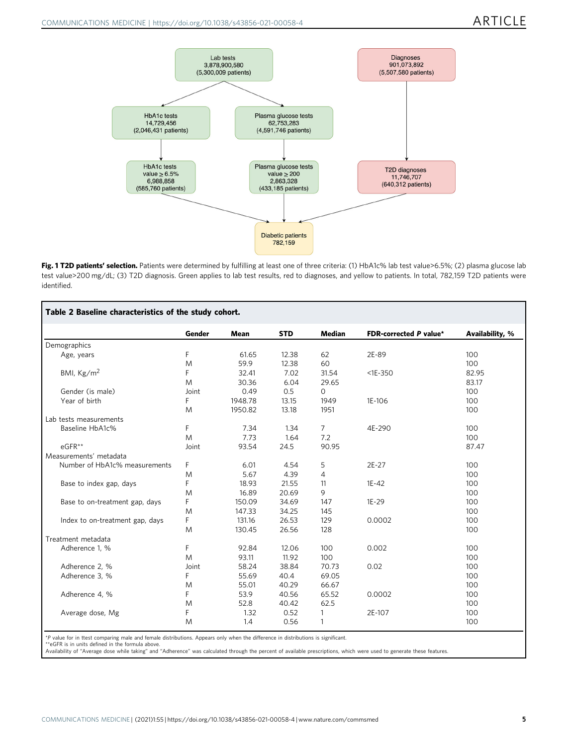<span id="page-4-0"></span>

Fig. 1 T2D patients' selection. Patients were determined by fulfilling at least one of three criteria: (1) HbA1c% lab test value>6.5%; (2) plasma glucose lab test value>200 mg/dL; (3) T2D diagnosis. Green applies to lab test results, red to diagnoses, and yellow to patients. In total, 782,159 T2D patients were identified.

|                                 | Gender | Mean    | <b>STD</b> | Median         | FDR-corrected P value* | Availability, % |
|---------------------------------|--------|---------|------------|----------------|------------------------|-----------------|
| Demographics                    |        |         |            |                |                        |                 |
| Age, years                      | F      | 61.65   | 12.38      | 62             | 2E-89                  | 100             |
|                                 | M      | 59.9    | 12.38      | 60             |                        | 100             |
| BMI, $\text{Kg/m}^2$            | F      | 32.41   | 7.02       | 31.54          | $<$ 1E-350             | 82.95           |
|                                 | M      | 30.36   | 6.04       | 29.65          |                        | 83.17           |
| Gender (is male)                | Joint  | 0.49    | 0.5        | $\Omega$       |                        | 100             |
| Year of birth                   | F      | 1948.78 | 13.15      | 1949           | 1E-106                 | 100             |
|                                 | M      | 1950.82 | 13.18      | 1951           |                        | 100             |
| Lab tests measurements          |        |         |            |                |                        |                 |
| Baseline HbA1c%                 | F      | 7.34    | 1.34       | $\overline{7}$ | 4E-290                 | 100             |
|                                 | M      | 7.73    | 1.64       | 7.2            |                        | 100             |
| $e$ GFR $**$                    | Joint  | 93.54   | 24.5       | 90.95          |                        | 87.47           |
| Measurements' metadata          |        |         |            |                |                        |                 |
| Number of HbA1c% measurements   | F      | 6.01    | 4.54       | 5              | 2E-27                  | 100             |
|                                 | M      | 5.67    | 4.39       | $\overline{4}$ |                        | 100             |
| Base to index gap, days         | F      | 18.93   | 21.55      | 11             | $1E-42$                | 100             |
|                                 | M      | 16.89   | 20.69      | 9              |                        | 100             |
| Base to on-treatment gap, days  | F      | 150.09  | 34.69      | 147            | 1E-29                  | 100             |
|                                 | M      | 147.33  | 34.25      | 145            |                        | 100             |
| Index to on-treatment gap, days | F      | 131.16  | 26.53      | 129            | 0.0002                 | 100             |
|                                 | M      | 130.45  | 26.56      | 128            |                        | 100             |
| Treatment metadata              |        |         |            |                |                        |                 |
| Adherence 1, %                  | F      | 92.84   | 12.06      | 100            | 0.002                  | 100             |
|                                 | M      | 93.11   | 11.92      | 100            |                        | 100             |
| Adherence 2, %                  | Joint  | 58.24   | 38.84      | 70.73          | 0.02                   | 100             |
| Adherence 3, %                  | F      | 55.69   | 40.4       | 69.05          |                        | 100             |
|                                 | M      | 55.01   | 40.29      | 66.67          |                        | 100             |
| Adherence 4, %                  | F      | 53.9    | 40.56      | 65.52          | 0.0002                 | 100             |
|                                 | M      | 52.8    | 40.42      | 62.5           |                        | 100             |
| Average dose, Mg                | F      | 1.32    | 0.52       | $\mathbf{1}$   | 2E-107                 | 100             |
|                                 | M      | 1.4     | 0.56       | $\mathbf{1}$   |                        | 100             |

\*P value for in ttest comparing male and female distributions. Appears only when the difference in distributions is significant. \*\*eGFR is in units defined in the formula above.

Availability of "Average dose while taking" and "Adherence" was calculated through the percent of available prescriptions, which were used to generate these features.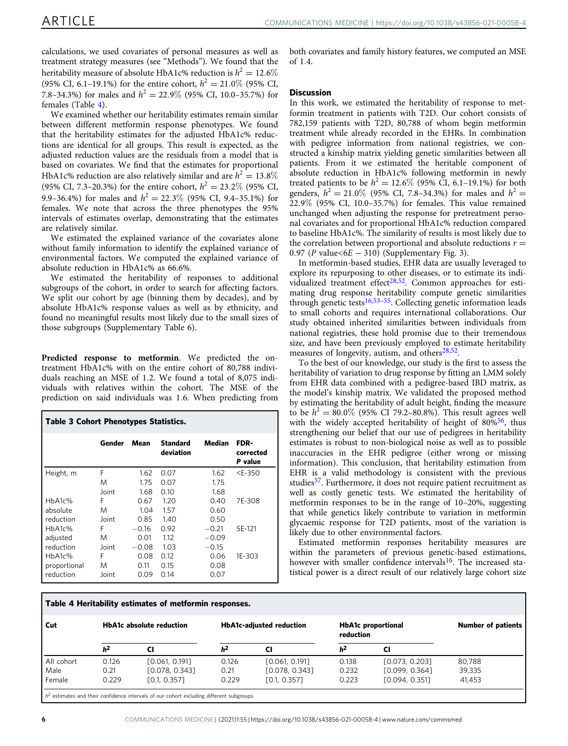<span id="page-5-0"></span>calculations, we used covariates of personal measures as well as treatment strategy measures (see "Methods"). We found that the heritability measure of absolute HbA1c% reduction is  $h^2 = 12.6\%$ (95% CI, 6.1–19.1%) for the entire cohort,  $h^2 = 21.0\%$  (95% CI, 7.8–34.3%) for males and  $h^2 = 22.9\%$  (95% CI, 10.0–35.7%) for females (Table 4).

We examined whether our heritability estimates remain similar between different metformin response phenotypes. We found that the heritability estimates for the adjusted HbA1c% reductions are identical for all groups. This result is expected, as the adjusted reduction values are the residuals from a model that is based on covariates. We find that the estimates for proportional HbA1c% reduction are also relatively similar and are  $h^2 = 13.8\%$ (95% CI, 7.3–20.3%) for the entire cohort,  $h^2 = 23.2\%$  (95% CI, 9.9–36.4%) for males and  $h^2 = 22.3\%$  (95% CI, 9.4–35.1%) for females. We note that across the three phenotypes the 95% intervals of estimates overlap, demonstrating that the estimates are relatively similar.

We estimated the explained variance of the covariates alone without family information to identify the explained variance of environmental factors. We computed the explained variance of absolute reduction in HbA1c% as 66.6%.

We estimated the heritability of responses to additional subgroups of the cohort, in order to search for affecting factors. We split our cohort by age (binning them by decades), and by absolute HbA1c% response values as well as by ethnicity, and found no meaningful results most likely due to the small sizes of those subgroups (Supplementary Table 6).

Predicted response to metformin. We predicted the ontreatment HbA1c% with on the entire cohort of 80,788 individuals reaching an MSE of 1:2. We found a total of 8,075 individuals with relatives within the cohort. The MSE of the prediction on said individuals was 1:6. When predicting from

| Table 3 Cohort Phenotypes Statistics. |        |         |                              |         |                              |  |  |
|---------------------------------------|--------|---------|------------------------------|---------|------------------------------|--|--|
|                                       | Gender | Mean    | <b>Standard</b><br>deviation | Median  | FDR-<br>corrected<br>P value |  |  |
| Height, m                             | F      | 1.62    | 0.07                         | 1.62    | $< E - 350$                  |  |  |
|                                       | M      | 1.75    | 0.07                         | 1.75    |                              |  |  |
|                                       | Joint  | 1.68    | 0.10                         | 1.68    |                              |  |  |
| HbA1c%                                | F      | 0.67    | 1.20                         | 0.40    | 7E-308                       |  |  |
| absolute                              | M      | 1.04    | 1.57                         | 0.60    |                              |  |  |
| reduction                             | Joint  | 0.85    | 1.40                         | 0.50    |                              |  |  |
| HbA1c%                                | F      | $-0.16$ | 0.92                         | $-0.21$ | 5E-121                       |  |  |
| adjusted                              | M      | 0.01    | 1.12                         | $-0.09$ |                              |  |  |
| reduction                             | Joint  | $-0.08$ | 1.03                         | $-0.15$ |                              |  |  |
| HbA1c%                                | F      | 0.08    | 0.12                         | 0.06    | 1E-303                       |  |  |
| proportional                          | M      | 0.11    | 0.15                         | 0.08    |                              |  |  |
| reduction                             | Joint  | 0.09    | 0.14                         | 0.07    |                              |  |  |

both covariates and family history features, we computed an MSE of  $1.4$ 

### Discussion

In this work, we estimated the heritability of response to metformin treatment in patients with T2D. Our cohort consists of 782,159 patients with T2D, 80,788 of whom begin metformin treatment while already recorded in the EHRs. In combination with pedigree information from national registries, we constructed a kinship matrix yielding genetic similarities between all patients. From it we estimated the heritable component of absolute reduction in HbA1c% following metformin in newly treated patients to be  $h^2 = 12.6\%$  (95% CI, 6.1-19.1%) for both genders,  $h^2 = 21.0\%$  (95% CI, 7.8–34.3%) for males and  $h^2 =$ 22:9% (95% CI, 10.0–35.7%) for females. This value remained unchanged when adjusting the response for pretreatment personal covariates and for proportional HbA1c% reduction compared to baseline HbA1c%. The similarity of results is most likely due to the correlation between proportional and absolute reductions  $r =$  $0.97$  (P value< $6E - 310$ ) (Supplementary Fig. 3).

In metformin-based studies, EHR data are usually leveraged to explore its repurposing to other diseases, or to estimate its individualized treatment effect<sup>28,52</sup>. Common approaches for estimating drug response heritability compute genetic similarities through genetic tests<sup>[16,53](#page-7-0)–55</sup>. Collecting genetic information leads to small cohorts and requires international collaborations. Our study obtained inherited similarities between individuals from national registries, these hold promise due to their tremendous size, and have been previously employed to estimate heritability measures of longevity, autism, and others $28,52$ .

To the best of our knowledge, our study is the first to assess the heritability of variation to drug response by fitting an LMM solely from EHR data combined with a pedigree-based IBD matrix, as the model's kinship matrix. We validated the proposed method by estimating the heritability of adult height, finding the measure to be  $h^2 = 80.0\%$  (95% CI 79.2–80.8%). This result agrees well with the widely accepted heritability of height of  $80\frac{1}{6}$ , thus strengthening our belief that our use of pedigrees in heritability estimates is robust to non-biological noise as well as to possible inaccuracies in the EHR pedigree (either wrong or missing information). This conclusion, that heritability estimation from EHR is a valid methodology is consistent with the previous studies<sup>57</sup>. Furthermore, it does not require patient recruitment as well as costly genetic tests. We estimated the heritability of metformin responses to be in the range of 10–20%, suggesting that while genetics likely contribute to variation in metformin glycaemic response for T2D patients, most of the variation is likely due to other environmental factors.

Estimated metformin responses heritability measures are within the parameters of previous genetic-based estimations, however with smaller confidence intervals<sup>16</sup>. The increased statistical power is a direct result of our relatively large cohort size

| Cut        | <b>HbA1c absolute reduction</b> |                |                | <b>HbA1c-adjusted reduction</b> | <b>HbA1c</b> proportional<br>reduction |                | <b>Number of patients</b> |
|------------|---------------------------------|----------------|----------------|---------------------------------|----------------------------------------|----------------|---------------------------|
|            | h <sup>2</sup>                  |                | h <sup>2</sup> | CI                              | h <sup>2</sup>                         | СI             |                           |
| All cohort | 0.126                           | ГО.061, 0.1911 | 0.126          | [0.061, 0.191]                  | 0.138                                  | [0.073, 0.203] | 80.788                    |
| Male       | 0.21                            | [0.078, 0.343] | 0.21           | [0.078, 0.343]                  | 0.232                                  | ГО.099, 0.3641 | 39.335                    |
| Female     | 0.229                           | [0.1, 0.357]   | 0.229          | [0.1, 0.357]                    | 0.223                                  | ГО.094, 0.3511 | 41.453                    |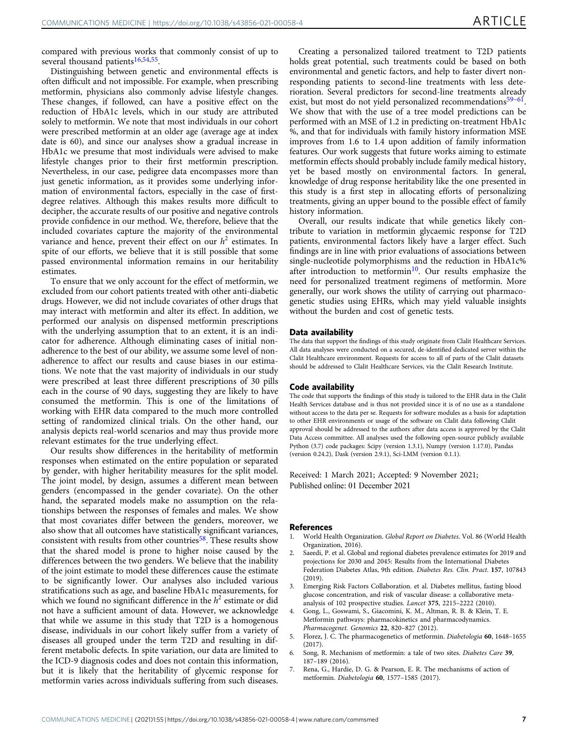<span id="page-6-0"></span>compared with previous works that commonly consist of up to several thousand patients<sup>16,54,55</sup>.

Distinguishing between genetic and environmental effects is often difficult and not impossible. For example, when prescribing metformin, physicians also commonly advise lifestyle changes. These changes, if followed, can have a positive effect on the reduction of HbA1c levels, which in our study are attributed solely to metformin. We note that most individuals in our cohort were prescribed metformin at an older age (average age at index date is 60), and since our analyses show a gradual increase in HbA1c we presume that most individuals were advised to make lifestyle changes prior to their first metformin prescription. Nevertheless, in our case, pedigree data encompasses more than just genetic information, as it provides some underlying information of environmental factors, especially in the case of firstdegree relatives. Although this makes results more difficult to decipher, the accurate results of our positive and negative controls provide confidence in our method. We, therefore, believe that the included covariates capture the majority of the environmental variance and hence, prevent their effect on our  $h^2$  estimates. In spite of our efforts, we believe that it is still possible that some passed environmental information remains in our heritability estimates.

To ensure that we only account for the effect of metformin, we excluded from our cohort patients treated with other anti-diabetic drugs. However, we did not include covariates of other drugs that may interact with metformin and alter its effect. In addition, we performed our analysis on dispensed metformin prescriptions with the underlying assumption that to an extent, it is an indicator for adherence. Although eliminating cases of initial nonadherence to the best of our ability, we assume some level of nonadherence to affect our results and cause biases in our estimations. We note that the vast majority of individuals in our study were prescribed at least three different prescriptions of 30 pills each in the course of 90 days, suggesting they are likely to have consumed the metformin. This is one of the limitations of working with EHR data compared to the much more controlled setting of randomized clinical trials. On the other hand, our analysis depicts real-world scenarios and may thus provide more relevant estimates for the true underlying effect.

Our results show differences in the heritability of metformin responses when estimated on the entire population or separated by gender, with higher heritability measures for the split model. The joint model, by design, assumes a different mean between genders (encompassed in the gender covariate). On the other hand, the separated models make no assumption on the relationships between the responses of females and males. We show that most covariates differ between the genders, moreover, we also show that all outcomes have statistically significant variances, consistent with results from other countries $58$ . These results show that the shared model is prone to higher noise caused by the differences between the two genders. We believe that the inability of the joint estimate to model these differences cause the estimate to be significantly lower. Our analyses also included various stratifications such as age, and baseline HbA1c measurements, for which we found no significant difference in the  $h^2$  estimate or did not have a sufficient amount of data. However, we acknowledge that while we assume in this study that T2D is a homogenous disease, individuals in our cohort likely suffer from a variety of diseases all grouped under the term T2D and resulting in different metabolic defects. In spite variation, our data are limited to the ICD-9 diagnosis codes and does not contain this information, but it is likely that the heritability of glycemic response for metformin varies across individuals suffering from such diseases.

Creating a personalized tailored treatment to T2D patients holds great potential, such treatments could be based on both environmental and genetic factors, and help to faster divert nonresponding patients to second-line treatments with less deterioration. Several predictors for second-line treatments already exist, but most do not yield personalized recommendations $59-61$  $59-61$ . We show that with the use of a tree model predictions can be performed with an MSE of 1.2 in predicting on-treatment HbA1c %, and that for individuals with family history information MSE improves from 1.6 to 1.4 upon addition of family information features. Our work suggests that future works aiming to estimate metformin effects should probably include family medical history, yet be based mostly on environmental factors. In general, knowledge of drug response heritability like the one presented in this study is a first step in allocating efforts of personalizing treatments, giving an upper bound to the possible effect of family history information.

Overall, our results indicate that while genetics likely contribute to variation in metformin glycaemic response for T2D patients, environmental factors likely have a larger effect. Such findings are in line with prior evaluations of associations between single-nucleotide polymorphisms and the reduction in HbA1c% after introduction to metformin<sup>10</sup>. Our results emphasize the need for personalized treatment regimens of metformin. More generally, our work shows the utility of carrying out pharmacogenetic studies using EHRs, which may yield valuable insights without the burden and cost of genetic tests.

#### Data availability

The data that support the findings of this study originate from Clalit Healthcare Services. All data analyses were conducted on a secured, de-identified dedicated server within the Clalit Healthcare environment. Requests for access to all of parts of the Clalit datasets should be addressed to Clalit Healthcare Services, via the Clalit Research Institute.

#### Code availability

The code that supports the findings of this study is tailored to the EHR data in the Clalit Health Services database and is thus not provided since it is of no use as a standalone without access to the data per se. Requests for software modules as a basis for adaptation to other EHR environments or usage of the software on Clalit data following Clalit approval should be addressed to the authors after data access is approved by the Clalit Data Access committee. All analyses used the following open-source publicly available Python (3.7) code packages: Scipy (version 1.3.1), Numpy (version 1.17.0), Pandas (version 0.24.2), Dask (version 2.9.1), Sci-LMM (version 0.1.1).

Received: 1 March 2021; Accepted: 9 November 2021; Published online: 01 December 2021

#### **References**

- 1. World Health Organization. Global Report on Diabetes. Vol. 86 (World Health Organization, 2016).
- Saeedi, P. et al. Global and regional diabetes prevalence estimates for 2019 and projections for 2030 and 2045: Results from the International Diabetes Federation Diabetes Atlas, 9th edition. Diabetes Res. Clin. Pract. 157, 107843  $(2019)$
- 3. Emerging Risk Factors Collaboration. et al. Diabetes mellitus, fasting blood glucose concentration, and risk of vascular disease: a collaborative metaanalysis of 102 prospective studies. Lancet 375, 2215–2222 (2010).
- 4. Gong, L., Goswami, S., Giacomini, K. M., Altman, R. B. & Klein, T. E. Metformin pathways: pharmacokinetics and pharmacodynamics. Pharmacogenet. Genomics 22, 820–827 (2012).
- 5. Florez, J. C. The pharmacogenetics of metformin. Diabetologia 60, 1648–1655 (2017).
- 6. Song, R. Mechanism of metformin: a tale of two sites. Diabetes Care 39, 187–189 (2016).
- 7. Rena, G., Hardie, D. G. & Pearson, E. R. The mechanisms of action of metformin. Diabetologia 60, 1577–1585 (2017).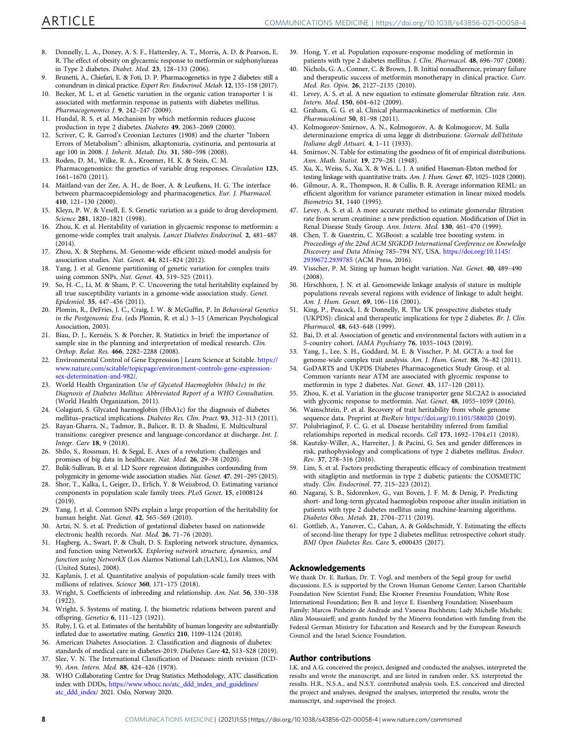- <span id="page-7-0"></span>8. Donnelly, L. A., Doney, A. S. F., Hattersley, A. T., Morris, A. D. & Pearson, E. R. The effect of obesity on glycaemic response to metformin or sulphonylureas in Type 2 diabetes. Diabet. Med. 23, 128–133 (2006).
- Brunetti, A., Chiefari, E. & Foti, D. P. Pharmacogenetics in type 2 diabetes: still a conundrum in clinical practice. Expert Rev. Endocrinol. Metab. 12, 155–158 (2017).
- Becker, M. L. et al. Genetic variation in the organic cation transporter 1 is associated with metformin response in patients with diabetes mellitus. Pharmacogenomics J. 9, 242–247 (2009).
- 11. Hundal, R. S. et al. Mechanism by which metformin reduces glucose production in type 2 diabetes. Diabetes 49, 2063–2069 (2000).
- 12. Scriver, C. R. Garrod's Croonian Lectures (1908) and the charter "Inborn Errors of Metabolism": albinism, alkaptonuria, cystinuria, and pentosuria at age 100 in 2008. J. Inherit. Metab. Dis. 31, 580–598 (2008).
- 13. Roden, D. M., Wilke, R. A., Kroemer, H. K. & Stein, C. M. Pharmacogenomics: the genetics of variable drug responses. Circulation 123, 1661–1670 (2011).
- 14. Maitland-van der Zee, A. H., de Boer, A. & Leufkens, H. G. The interface between pharmacoepidemiology and pharmacogenetics. Eur. J. Pharmacol. 410, 121–130 (2000).
- 15. Kleyn, P. W. & Vesell, E. S. Genetic variation as a guide to drug development. Science 281, 1820-1821 (1998).
- 16. Zhou, K. et al. Heritability of variation in glycaemic response to metformin: a genome-wide complex trait analysis. Lancet Diabetes Endocrinol. 2, 481–487  $(2014)$
- 17. Zhou, X. & Stephens, M. Genome-wide efficient mixed-model analysis for association studies. Nat. Genet. 44, 821–824 (2012).
- 18. Yang, J. et al. Genome partitioning of genetic variation for complex traits using common SNPs. Nat. Genet. 43, 519–525 (2011).
- 19. So, H.-C., Li, M. & Sham, P. C. Uncovering the total heritability explained by all true susceptibility variants in a genome-wide association study. Genet. Epidemiol. 35, 447–456 (2011).
- 20. Plomin, R., DeFries, J. C., Craig, I. W. & McGuffin, P. In Behavioral Genetics in the Postgenomic Era. (eds Plomin, R. et al.) 3–15 (American Psychological Association, 2003).
- 21. Biau, D. J., Kernéis, S. & Porcher, R. Statistics in brief: the importance of sample size in the planning and interpretation of medical research. Clin. Orthop. Relat. Res. 466, 2282–2288 (2008).
- 22. Environmental Control of Gene Expression | Learn Science at Scitable. [https://](https://www.nature.com/scitable/topicpage/environment-controls-gene-expression-sex-determination-and-982/) [www.nature.com/scitable/topicpage/environment-controls-gene-expression](https://www.nature.com/scitable/topicpage/environment-controls-gene-expression-sex-determination-and-982/)[sex-determination-and-982/](https://www.nature.com/scitable/topicpage/environment-controls-gene-expression-sex-determination-and-982/).
- 23. World Health Organization Use of Glycated Haemoglobin (hba1c) in the Diagnosis of Diabetes Mellitus: Abbreviated Report of a WHO Consultation. (World Health Organization, 2011).
- 24. Colagiuri, S. Glycated haemoglobin (HbA1c) for the diagnosis of diabetes mellitus–practical implications. Diabetes Res. Clin. Pract. 93, 312–313 (2011).
- 25. Rayan-Gharra, N., Tadmor, B., Balicer, R. D. & Shadmi, E. Multicultural transitions: caregiver presence and language-concordance at discharge. Int. J. Integr. Care 18, 9 (2018).
- 26. Shilo, S., Rossman, H. & Segal, E. Axes of a revolution: challenges and promises of big data in healthcare. Nat. Med. 26, 29–38 (2020).
- 27. Bulik-Sullivan, B. et al. LD Score regression distinguishes confounding from polygenicity in genome-wide association studies. Nat. Genet. 47, 291-295 (2015).
- 28. Shor, T., Kalka, I., Geiger, D., Erlich, Y. & Weissbrod, O. Estimating variance components in population scale family trees. PLoS Genet. 15, e1008124 (2019).
- 29. Yang, J. et al. Common SNPs explain a large proportion of the heritability for human height. Nat. Genet. 42, 565–569 (2010).
- 30. Artzi, N. S. et al. Prediction of gestational diabetes based on nationwide electronic health records. Nat. Med. 26, 71–76 (2020).
- 31. Hagberg, A., Swart, P. & Chult, D. S. Exploring network structure, dynamics, and function using NetworkX. Exploring network structure, dynamics, and function using NetworkX (Los Alamos National Lab.(LANL), Los Alamos, NM (United States), 2008).
- 32. Kaplanis, J. et al. Quantitative analysis of population-scale family trees with millions of relatives. Science 360, 171–175 (2018).
- 33. Wright, S. Coefficients of inbreeding and relationship. Am. Nat. 56, 330–338 (1922).
- 34. Wright, S. Systems of mating. I. the biometric relations between parent and offspring. Genetics 6, 111–123 (1921).
- 35. Ruby, J. G. et al. Estimates of the heritability of human longevity are substantially inflated due to assortative mating. Genetics 210, 1109–1124 (2018).
- 36. American Diabetes Association. 2. Classification and diagnosis of diabetes: standards of medical care in diabetes-2019. Diabetes Care 42, S13–S28 (2019).
- 37. Slee, V. N. The International Classification of Diseases: ninth revision (ICD-9). Ann. Intern. Med. 88, 424–426 (1978).
- 38. WHO Collaborating Centre for Drug Statistics Methodology, ATC classification index with DDDs, [https://www.whocc.no/atc\\_ddd\\_index\\_and\\_guidelines/](https://www.whocc.no/atc_ddd_index_and_guidelines/atc_ddd_index/) [atc\\_ddd\\_index/](https://www.whocc.no/atc_ddd_index_and_guidelines/atc_ddd_index/) 2021. Oslo, Norway 2020.
- 39. Hong, Y. et al. Population exposure-response modeling of metformin in patients with type 2 diabetes mellitus. J. Clin. Pharmacol. 48, 696–707 (2008).
- 40. Nichols, G. A., Conner, C. & Brown, J. B. Initial nonadherence, primary failure and therapeutic success of metformin monotherapy in clinical practice. Curr. Med. Res. Opin. 26, 2127–2135 (2010).
- 41. Levey, A. S. et al. A new equation to estimate glomerular filtration rate. Ann. Intern. Med. 150, 604–612 (2009).
- 42. Graham, G. G. et al. Clinical pharmacokinetics of metformin. Clin Pharmacokinet 50, 81–98 (2011).
- 43. Kolmogorov-Smirnov, A. N., Kolmogorov, A. & Kolmogorov, M. Sulla determinazione emprica di uma legge di distribuzione. Giornale dell'Istituto Italiano degli Attuari. 4, 1–11 (1933).
- 44. Smirnov, N. Table for estimating the goodness of fit of empirical distributions. Ann. Math. Statist. 19, 279–281 (1948).
- 45. Xu, X., Weiss, S., Xu, X. & Wei, L. J. A unified Haseman-Elston method for testing linkage with quantitative traits. Am. J. Hum. Genet. 67, 1025–1028 (2000).
- 46. Gilmour, A. R., Thompson, R. & Cullis, B. R. Average information REML: an efficient algorithm for variance parameter estimation in linear mixed models. Biometrics 51, 1440 (1995).
- 47. Levey, A. S. et al. A more accurate method to estimate glomerular filtration rate from serum creatinine: a new prediction equation. Modification of Diet in Renal Disease Study Group. Ann. Intern. Med. 130, 461–470 (1999).
- 48. Chen, T. & Guestrin, C. XGBoost: a scalable tree boosting system. in Proceedings of the 22nd ACM SIGKDD International Conference on Knowledge Discovery and Data Mining 785–794 NY, USA. [https://doi.org/10.1145/](https://doi.org/10.1145/2939672.2939785) [2939672.2939785](https://doi.org/10.1145/2939672.2939785) (ACM Press, 2016).
- 49. Visscher, P. M. Sizing up human height variation. Nat. Genet. 40, 489–490  $(2008)$
- 50. Hirschhorn, J. N. et al. Genomewide linkage analysis of stature in multiple populations reveals several regions with evidence of linkage to adult height. Am. J. Hum. Genet. 69, 106–116 (2001).
- 51. King, P., Peacock, I. & Donnelly, R. The UK prospective diabetes study (UKPDS): clinical and therapeutic implications for type 2 diabetes. Br. J. Clin. Pharmacol. 48, 643–648 (1999).
- 52. Bai, D. et al. Association of genetic and environmental factors with autism in a 5-country cohort. JAMA Psychiatry 76, 1035–1043 (2019).
- 53. Yang, J., Lee, S. H., Goddard, M. E. & Visscher, P. M. GCTA: a tool for genome-wide complex trait analysis. Am. J. Hum. Genet. 88, 76–82 (2011).
- 54. GoDARTS and UKPDS Diabetes Pharmacogenetics Study Group. et al. Common variants near ATM are associated with glycemic response to metformin in type 2 diabetes. Nat. Genet. 43, 117–120 (2011).
- 55. Zhou, K. et al. Variation in the glucose transporter gene SLC2A2 is associated with glycemic response to metformin. Nat. Genet. 48, 1055–1059 (2016).
- 56. Wainschtein, P. et al. Recovery of trait heritability from whole genome sequence data. Preprint at BioRxiv <https://doi.org/10.1101/588020> (2019).
- 57. Polubriaginof, F. C. G. et al. Disease heritability inferred from familial relationships reported in medical records. Cell 173, 1692–1704.e11 (2018).
- 58. Kautzky-Willer, A., Harreiter, J. & Pacini, G. Sex and gender differences in risk, pathophysiology and complications of type 2 diabetes mellitus. Endocr. Rev. 37, 278–316 (2016).
- 59. Lim, S. et al. Factors predicting therapeutic efficacy of combination treatment with sitagliptin and metformin in type 2 diabetic patients: the COSMETIC study. Clin. Endocrinol. 77, 215–223 (2012).
- 60. Nagaraj, S. B., Sidorenkov, G., van Boven, J. F. M. & Denig, P. Predicting short- and long-term glycated haemoglobin response after insulin initiation in patients with type 2 diabetes mellitus using machine-learning algorithms. Diabetes Obes. Metab. 21, 2704–2711 (2019).
- 61. Gottlieb, A., Yanover, C., Cahan, A. & Goldschmidt, Y. Estimating the effects of second-line therapy for type 2 diabetes mellitus: retrospective cohort study. BMJ Open Diabetes Res. Care 5, e000435 (2017).

### Acknowledgements

We thank Dr. E. Barkan, Dr. T. Vogl, and members of the Segal group for useful discussions. E.S. is supported by the Crown Human Genome Center; Larson Charitable Foundation New Scientist Fund; Else Kroener Fresenius Foundation; White Rose International Foundation; Ben B. and Joyce E. Eisenberg Foundation; Nissenbaum Family; Marcos Pinheiro de Andrade and Vanessa Buchheim; Lady Michelle Michels; Aliza Moussaieff; and grants funded by the Minerva foundation with funding from the Federal German Ministry for Education and Research and by the European Research Council and the Israel Science Foundation.

#### Author contributions

I.K. and A.G. conceived the project, designed and conducted the analyses, interpreted the results and wrote the manuscript, and are listed in random order. S.S. interpreted the results. H.R., N.S.A., and N.S.Y. contributed analysis tools. E.S. conceived and directed the project and analyses, designed the analyses, interpreted the results, wrote the manuscript, and supervised the project.